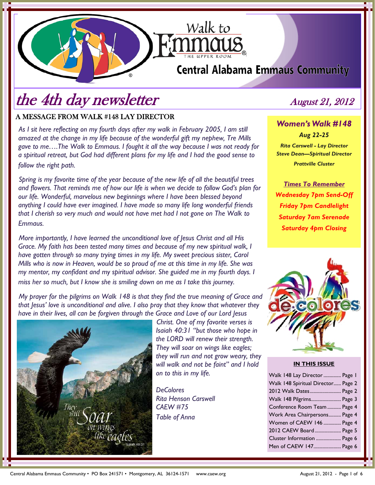## **Central Alabama Emmaus Community**

Walk to

# the 4th day newsletter August 21, 2012

#### A MESSAGE FROM WALK #148 LAY DIRECTOR

*As I sit here reflecting on my fourth days after my walk in February 2005, I am still amazed at the change in my life because of the wonderful gift my nephew, Tre Mills gave to me….The Walk to Emmaus. I fought it all the way because I was not ready for a spiritual retreat, but God had different plans for my life and I had the good sense to follow the right path.* 

*Spring is my favorite time of the year because of the new life of all the beautiful trees and flowers. That reminds me of how our life is when we decide to follow God's plan for our life. Wonderful, marvelous new beginnings where I have been blessed beyond anything I could have ever imagined. I have made so many life long wonderful friends that I cherish so very much and would not have met had I not gone on The Walk to Emmaus.* 

*More importantly, I have learned the unconditional love of Jesus Christ and all His Grace. My faith has been tested many times and because of my new spiritual walk, I have gotten through so many trying times in my life. My sweet precious sister, Carol Mills who is now in Heaven, would be so proud of me at this time in my life. She was my mentor, my confidant and my spiritual advisor. She guided me in my fourth days. I miss her so much, but I know she is smiling down on me as I take this journey.* 

*My prayer for the pilgrims on Walk 148 is that they find the true meaning of Grace and that Jesus' love is unconditional and alive. I also pray that they know that whatever they have in their lives, all can be forgiven through the Grace and Love of our Lord Jesus* 



*Christ. One of my favorite verses is Isaiah 40:31 "but those who hope in the LORD will renew their strength. They will soar on wings like eagles; they will run and not grow weary, they will walk and not be faint" and I hold on to this in my life.* 

*DeColores Rita Henson Carswell CAEW #75 Table of Anna* 

*Women's Walk #148 Aug 22-25 Rita Carswell - Lay Director Steve Dean—Spiritual Director Prattville Cluster* 

*Times To Remember Wednesday 7pm Send-Off Friday 7pm Candlelight Saturday 7am Serenade Saturday 4pm Closing*



#### **IN THIS ISSUE**

| Walk 148 Lay Director  Page 1      |  |
|------------------------------------|--|
| Walk 148 Spiritual Director Page 2 |  |
| 2012 Walk Dates Page 2             |  |
| Walk 148 Pilgrims Page 3           |  |
| Conference Room Team  Page 4       |  |
| Work Area Chairpersons Page 4      |  |
| Women of CAEW 146  Page 4          |  |
| 2012 CAEW Board Page 5             |  |
| Cluster Information  Page 6        |  |
| Men of CAEW 147 Page 6             |  |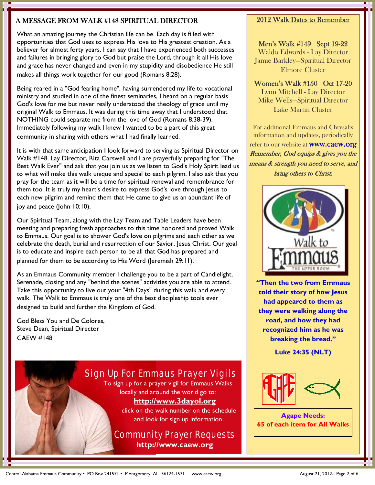#### A MESSAGE FROM WALK #148 SPIRITUAL DIRECTOR

What an amazing journey the Christian life can be. Each day is filled with opportunities that God uses to express His love to His greatest creation. As a believer for almost forty years, I can say that I have experienced both successes and failures in bringing glory to God but praise the Lord, through it all His love and grace has never changed and even in my stupidity and disobedience He still makes all things work together for our good (Romans 8:28).

Being reared in a "God fearing home", having surrendered my life to vocational ministry and studied in one of the finest seminaries, I heard on a regular basis God's love for me but never really understood the theology of grace until my original Walk to Emmaus. It was during this time away that I understood that NOTHING could separate me from the love of God (Romans 8:38-39). Immediately following my walk I knew I wanted to be a part of this great community in sharing with others what I had finally learned.

It is with that same anticipation I look forward to serving as Spiritual Director on Walk #148. Lay Director, Rita Carswell and I are prayerfully preparing for "The Best Walk Ever" and ask that you join us as we listen to God's Holy Spirit lead us to what will make this walk unique and special to each pilgrim. I also ask that you pray for the team as it will be a time for spiritual renewal and remembrance for them too. It is truly my heart's desire to express God's love through Jesus to each new pilgrim and remind them that He came to give us an abundant life of joy and peace (John 10:10).

Our Spiritual Team, along with the Lay Team and Table Leaders have been meeting and preparing fresh approaches to this time honored and proved Walk to Emmaus. Our goal is to shower God's love on pilgrims and each other as we celebrate the death, burial and resurrection of our Savior, Jesus Christ. Our goal is to educate and inspire each person to be all that God has prepared and planned for them to be according to His Word (Jeremiah 29:11).

As an Emmaus Community member I challenge you to be a part of Candlelight, Serenade, closing and any "behind the scenes" activities you are able to attend. Take this opportunity to live out your "4th Days" during this walk and every walk. The Walk to Emmaus is truly one of the best discipleship tools ever designed to build and further the Kingdom of God.

God Bless You and De Colores, Steve Dean, Spiritual Director CAEW #148

### Sign Up For Emmaus Prayer Vigils

To sign up for a prayer vigil for Emmaus Walks locally and around the world go to:

#### **http://www.3dayol.org**

click on the walk number on the schedule and look for sign up information.

#### Community Prayer Requests **http://www.caew.org**

#### 2012 Walk Dates to Remember

Men's Walk #149 Sept 19-22 Waldo Edwards - Lay Director Jamie Barkley—Spiritual Director Elmore Cluster

Women's Walk #150 Oct 17-20 Lynn Mitchell - Lay Director Mike Wells—Spiritual Director Lake Martin Cluster

For additional Emmaus and Chrysalis information and updates, periodically refer to our website at **www.caew.org** Remember, God equips & gives you the means & strength you need to serve, and bring others to Christ.



**"Then the two from Emmaus told their story of how Jesus had appeared to them as they were walking along the road, and how they had recognized him as he was breaking the bread."** 

**Luke 24:35 (NLT)** 



**Agape Needs: 65 of each item for All Walks**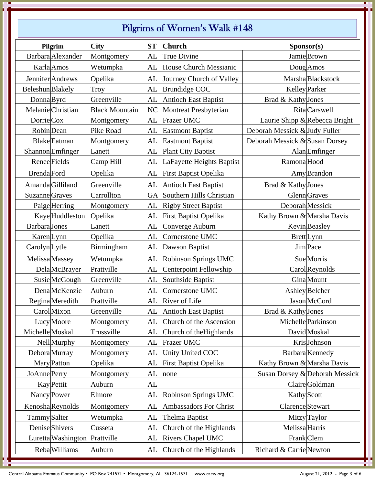## Pilgrims of Women's Walk #148

|                    | Pilgrim                       | <b>City</b>           | ST             | <b>Church</b>                | Sponsor(s)                     |                                |
|--------------------|-------------------------------|-----------------------|----------------|------------------------------|--------------------------------|--------------------------------|
|                    | Barbara Alexander             | Montgomery            | AL             | True Divine                  |                                | Jamie Brown                    |
|                    | Karla Amos                    | Wetumpka              | AL             | House Church Messianic       |                                | Doug Amos                      |
|                    | Jennifer Andrews              | Opelika               | AL             | Journey Church of Valley     |                                | Marsha Blackstock              |
| Beleshun Blakely   |                               | Troy                  | AL             | <b>Brundidge COC</b>         |                                | Kelley Parker                  |
| Donna Byrd         |                               | Greenville            | AL             | <b>Antioch East Baptist</b>  | Brad & Kathy Jones             |                                |
|                    | Melanie Christian             | <b>Black Mountain</b> | N <sub>C</sub> | <b>Montreat Presbyterian</b> |                                | <b>Rita</b> Carswell           |
| DorrieCox          |                               | Montgomery            | AL             | <b>Frazer UMC</b>            |                                | Laurie Shipp & Rebecca Bright  |
| Robin Dean         |                               | Pike Road             | AL             | <b>Eastmont Baptist</b>      | Deborah Messick & Judy Fuller  |                                |
|                    | <b>Blake</b> Eatman           | Montgomery            | AL             | <b>Eastmont Baptist</b>      | Deborah Messick & Susan Dorsey |                                |
|                    | Shannon Emfinger              | Lanett                | AL             | Plant City Baptist           |                                | Alan <b>Emfinger</b>           |
| Renee Fields       |                               | Camp Hill             | AL             | LaFayette Heights Baptist    | Ramona Hood                    |                                |
| <b>Brenda</b> Ford |                               | Opelika               | AL             | <b>First Baptist Opelika</b> |                                | Amy Brandon                    |
|                    | Amanda Gilliland              | Greenville            | AL             | <b>Antioch East Baptist</b>  | Brad & Kathy Jones             |                                |
| Suzanne Graves     |                               | Carrollton            | GA             | Southern Hills Christian     |                                | <b>Glenn</b> Graves            |
|                    | PaigeHerring                  | Montgomery            | AL             | <b>Rigby Street Baptist</b>  | Deborah Messick                |                                |
|                    | Kaye Huddleston               | Opelika               | AL             | <b>First Baptist Opelika</b> | Kathy Brown & Marsha Davis     |                                |
| Barbara Jones      |                               | Lanett                | AL             | Converge Auburn              |                                | Kevin Beasley                  |
| Karen Lynn         |                               | Opelika               | AL             | Cornerstone UMC              |                                | <b>Brett</b> Lynn              |
| CarolynLytle       |                               | Birmingham            | AL             | Dawson Baptist               |                                | <b>Jim</b> Pace                |
| Melissa Massey     |                               | Wetumpka              | AL             | Robinson Springs UMC         |                                | <b>Sue</b> Morris              |
|                    | <b>Dela</b> McBrayer          | Prattville            | AL             | Centerpoint Fellowship       |                                | Carol Reynolds                 |
|                    | Susie McGough                 | Greenville            | AL             | Southside Baptist            |                                | GinaMount                      |
|                    | <b>Dena</b> McKenzie          | Auburn                | AL             | Cornerstone UMC              |                                | <b>Ashley</b> Belcher          |
|                    | Regina Meredith               | Prattville            | AL             | River of Life                |                                | Jason McCord                   |
|                    | CarolMixon                    | Greenville            |                | AL Antioch East Baptist      | Brad & Kathy Jones             |                                |
|                    | Lucy Moore                    | Montgomery            | AL             | Church of the Ascension      |                                | Michelle Parkinson             |
| Michelle Moskal    |                               | Trussville            | AL             | Church of the Highlands      |                                | David Moskal                   |
|                    | <b>Nell</b> Murphy            | Montgomery            | AL             | Frazer UMC                   |                                | KrisJohnson                    |
|                    | Debora Murray                 | Montgomery            | AL             | Unity United COC             |                                | Barbara Kennedy                |
|                    | <b>Mary</b> Patton            | Opelika               | AL             | <b>First Baptist Opelika</b> | Kathy Brown & Marsha Davis     |                                |
| JoAnne Perry       |                               | Montgomery            | AL             | none                         |                                | Susan Dorsey & Deborah Messick |
|                    | <b>Kay</b> Pettit             | Auburn                | AL             |                              |                                | Claire Goldman                 |
|                    | Nancy Power                   | Elmore                | AL             | Robinson Springs UMC         | Kathy Scott                    |                                |
|                    | Kenosha Reynolds              | Montgomery            | AL             | Ambassadors For Christ       | Clarence Stewart               |                                |
| Tammy Salter       |                               | Wetumpka              | AL             | Thelma Baptist               |                                | Mitzy Taylor                   |
|                    | Denise Shivers                | Cusseta               | AL             | Church of the Highlands      | Melissa Harris                 |                                |
|                    | Luretta Washington Prattville |                       | AL             | <b>Rivers Chapel UMC</b>     | Frank Clem                     |                                |
|                    | Reba Williams                 | Auburn                | AL             | Church of the Highlands      | Richard & Carrie Newton        |                                |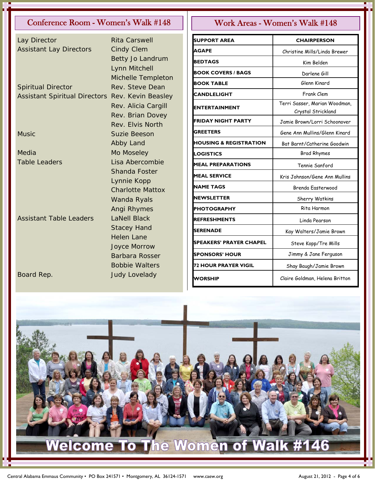### Conference Room - Women's Walk #148 | | Work Areas - Women's Walk #148

| Lay Director                         | <b>Rita Carswell</b>    |
|--------------------------------------|-------------------------|
| <b>Assistant Lay Directors</b>       | <b>Cindy Clem</b>       |
|                                      | Betty Jo Landrum        |
|                                      | Lynn Mitchell           |
|                                      | Michelle Templeton      |
| <b>Spiritual Director</b>            | Rev. Steve Dean         |
| <b>Assistant Spiritual Directors</b> | Rev. Kevin Beasley      |
|                                      | Rev. Alicia Cargill     |
|                                      | Rev. Brian Dovey        |
|                                      | Rev. Elvis North        |
| <b>Music</b>                         | <b>Suzie Beeson</b>     |
|                                      | Abby Land               |
| Media                                | Mo Moseley              |
| <b>Table Leaders</b>                 | Lisa Abercombie         |
|                                      | <b>Shanda Foster</b>    |
|                                      | Lynnie Kopp             |
|                                      | <b>Charlotte Mattox</b> |
|                                      | Wanda Ryals             |
|                                      | Angi Rhymes             |
| Assistant Table Leaders              | <b>LaNell Black</b>     |
|                                      | <b>Stacey Hand</b>      |
|                                      | <b>Helen Lane</b>       |
|                                      | <b>Joyce Morrow</b>     |
|                                      | Barbara Rosser          |
|                                      | <b>Bobbie Walters</b>   |
| Board Rep.                           | <b>Judy Lovelady</b>    |

| <b>SUPPORT AREA</b>               | <b>CHAIRPERSON</b>                                  |
|-----------------------------------|-----------------------------------------------------|
| AGAPE                             | Christine Mills/Linda Brewer                        |
| <b>BEDTAGS</b>                    | Kim Belden                                          |
| <b>BOOK COVERS / BAGS</b>         | Darlene Gill                                        |
| <b>BOOK TABLE</b>                 | Glenn Kinard                                        |
| <b>CANDLELIGHT</b>                | Frank Clem                                          |
| ENTERTAINMENT                     | Terri Sasser, Marian Woodman,<br>Crystal Strickland |
| FRIDAY NIGHT PARTY                | Jamie Brown/Lorri Schoonover                        |
| <b>GREETERS</b>                   | Gene Ann Mullins/Glenn Kinard                       |
| <b>HOUSING &amp; REGISTRATION</b> | Bat Barnt/Catherine Goodwin                         |
| <b>LOGISTICS</b>                  | <b>Brad Rhymes</b>                                  |
| <b>MEAL PREPARATIONS</b>          | Tennie Sanford                                      |
| <b>MEAL SERVICE</b>               | Kris Johnson/Gene Ann Mullins                       |
| NAME TAGS                         | Brenda Easterwood                                   |
| NEWSLETTER                        | Sherry Watkins                                      |
| <b>PHOTOGRAPHY</b>                | Rita Harmon                                         |
| <b>REFRESHMENTS</b>               | Linda Pearson                                       |
| <b>SERENADE</b>                   | Kay Walters/Jamie Brown                             |
| <b>SPEAKERS' PRAYER CHAPEL</b>    | Steve Kopp/Tre Mills                                |
| <b>SPONSORS' HOUR</b>             | Jimmy & Jane Ferguson                               |
| 72 HOUR PRAYER VIGIL              | Shay Baugh/Jamie Brown                              |
| WORSHIP                           | Claire Goldman, Helena Britton                      |

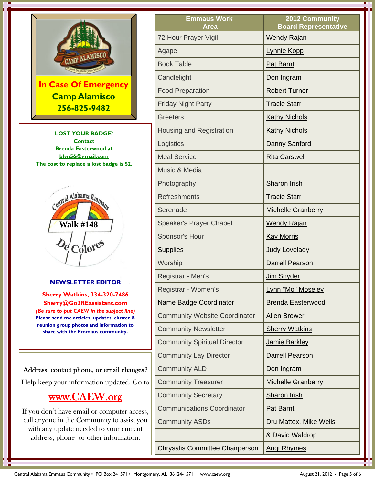

**Brenda Easterwood at blyn56@gmail.com The cost to replace a lost badge is \$2.** 



#### **NEWSLETTER EDITOR**

**Sherry Watkins, 334-320-7486 Sherry@Go2REassistant.com**  *(Be sure to put CAEW in the subject line)* **Please send me articles, updates, cluster & reunion group photos and information to share with the Emmaus community.** 

#### Address, contact phone, or email changes?

Help keep your information updated. Go to

### www.CAEW.org

If you don't have email or computer access, call anyone in the Community to assist you with any update needed to your current address, phone or other information.

| <b>Emmaus Work</b><br><b>Area</b>      | 2012 Community<br><b>Board Representative</b> |
|----------------------------------------|-----------------------------------------------|
| 72 Hour Prayer Vigil                   | <b>Wendy Rajan</b>                            |
| Agape                                  | Lynnie Kopp                                   |
| <b>Book Table</b>                      | <b>Pat Barnt</b>                              |
| Candlelight                            | Don Ingram                                    |
| <b>Food Preparation</b>                | <b>Robert Turner</b>                          |
| <b>Friday Night Party</b>              | <b>Tracie Starr</b>                           |
| <b>Greeters</b>                        | <b>Kathy Nichols</b>                          |
| Housing and Registration               | <b>Kathy Nichols</b>                          |
| Logistics                              | Danny Sanford                                 |
| <b>Meal Service</b>                    | <b>Rita Carswell</b>                          |
| Music & Media                          |                                               |
| Photography                            | <b>Sharon Irish</b>                           |
| <b>Refreshments</b>                    | <b>Tracie Starr</b>                           |
| Serenade                               | <b>Michelle Granberry</b>                     |
| <b>Speaker's Prayer Chapel</b>         | <b>Wendy Rajan</b>                            |
| Sponsor's Hour                         | <b>Kay Morris</b>                             |
| <b>Supplies</b>                        | <b>Judy Lovelady</b>                          |
| Worship                                | <b>Darrell Pearson</b>                        |
| Registrar - Men's                      | Jim Snyder                                    |
| Registrar - Women's                    | Lynn "Mo" Moseley                             |
| Name Badge Coordinator                 | <b>Brenda Easterwood</b>                      |
| <b>Community Website Coordinator</b>   | <b>Allen Brewer</b>                           |
| <b>Community Newsletter</b>            | <b>Sherry Watkins</b>                         |
| <b>Community Spiritual Director</b>    | Jamie Barkley                                 |
| <b>Community Lay Director</b>          | <b>Darrell Pearson</b>                        |
| <b>Community ALD</b>                   | Don Ingram                                    |
| <b>Community Treasurer</b>             | <b>Michelle Granberry</b>                     |
| <b>Community Secretary</b>             | <b>Sharon Irish</b>                           |
| <b>Communications Coordinator</b>      | <b>Pat Barnt</b>                              |
| <b>Community ASDs</b>                  | Dru Mattox, Mike Wells                        |
|                                        | & David Waldrop                               |
| <b>Chrysalis Committee Chairperson</b> | <b>Angi Rhymes</b>                            |